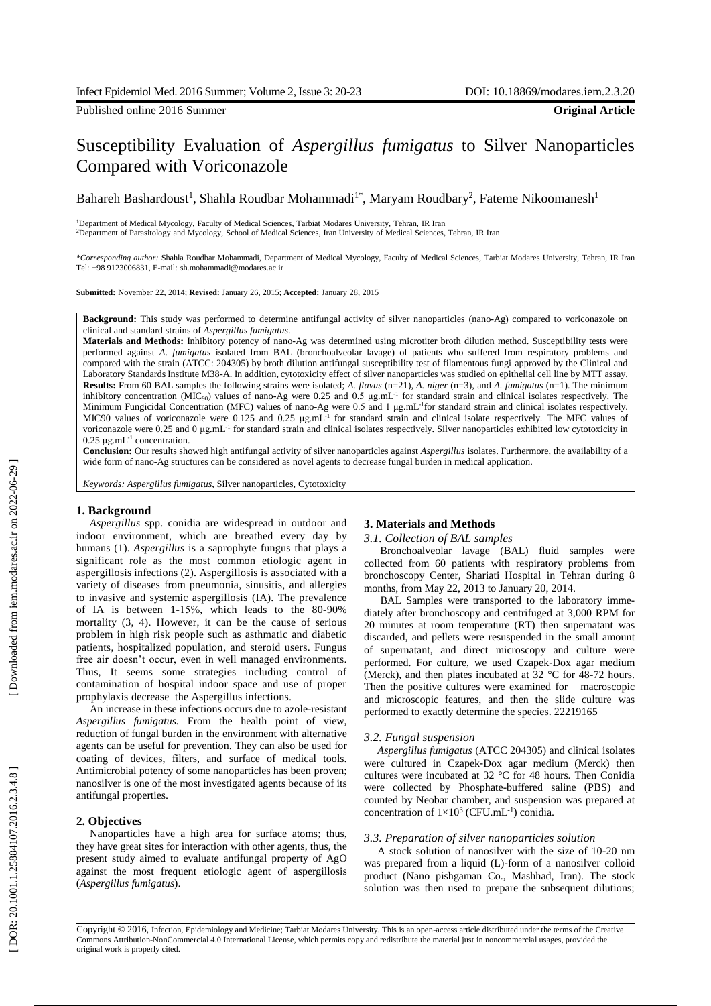Published online 2016 Summer **Original Article**

# Susceptibility Evaluation of *Aspergillus fumigatus* to Silver Nanoparticles Compared with Voriconazole

Bahareh Bashardoust<sup>1</sup>, Shahla Roudbar Mohammadi<sup>1\*</sup>, Maryam Roudbary<sup>2</sup>, Fateme Nikoomanesh<sup>1</sup>

<sup>1</sup>Department of Medical Mycology, Faculty of Medical Sciences, Tarbiat Modares University, Tehran, IR Iran <sup>2</sup>Department of Parasitology and Mycology, School of Medical Sciences, Iran University of Medical Sciences, Tehran, IR Iran

*\*Corresponding author:* Shahla Roudbar Mohammadi, Department of Medical Mycology, Faculty of Medical Sciences, Tarbiat Modares University, Tehran, IR Iran Tel: +98 9123006831, E -mail: sh.mohammadi@modares.ac.ir

**Submitted:** November 22 , 2014; **Revised:** January 26 , 2015; **Accepted:** January 28, 2015

Background: This study was performed to determine antifungal activity of silver nanoparticles (nano-Ag) compared to voriconazole on clin ical and standard strain s of *Aspergillus fumigatus*.

**Materials and Methods:** Inhibitory potency of nano -Ag was determined using microtiter broth dilution method. Susceptibility tests were performed against A. *fumigatus* isolated from BAL (bronchoalveolar lavage) of patients who suffered from respiratory problems and compared with the strain (ATCC: 204305) by broth dilution antifungal susceptibility test of filamentous fungi approved by the Clinical and Laboratory Standards Institute M38 -A. In addition, cytotoxicity effect of silver nanoparticles was studied on epithelial cell line by MTT assay. **Results:** From 60 BAL samples the following strains were isolated; *A. flavus* (n=21 ), *A. niger* (n=3) , and *A. fumigatus* (n=1) . The minimum inhibitory concentration (MIC<sub>90</sub>) values of nano-Ag were 0.25 and 0.5  $\mu$ g.mL<sup>-1</sup> for standard strain and clinical isolates respectively. The Minimum Fungicidal Concentration (MFC) values of nano-Ag were 0.5 and 1 μg.mL<sup>-1</sup>for standard strain and clinical isolates respectively. MIC90 values of voriconazole were 0.125 and 0.25  $\mu$ g.mL<sup>-1</sup> for standard strain and clinical isolate respectively. The MFC values of voriconazole were 0.25 and 0 μg.mL<sup>-1</sup> for standard strain and clinical isolates respectively. Silver nanoparticles exhibited low cytotoxicity in  $0.25 \mu g.mL^{-1}$  concentration.

Conclusion: Our results showed high antifungal activity of silver nanoparticles against *Aspergillus* isolates. Furthermore, the availability of a wide form of nano-Ag structures can be considered as novel agents to decrease fungal burden in medical application.

*Keywords: Aspergillus fumigatus*, Silver nanoparticles, Cytotoxicity

#### **1. Background**

*Aspergillus* spp . conidia are widespread in outdoor and indoor environment , which are bre athe d every day by h umans ( 1). *Aspergillus* is a saprophyte fungus that play s a significant role as the most common etiologic agent in aspergillosis infections (2). Aspergillosis is associated with a variety of diseas e s from pneumonia, sinusitis , and allergies to invasive and systemic aspergillosis (IA) . The prevalence of IA is between 1 -15℅, which leads to the 80 -90% mortal ity (3, 4). However , it can be the cause of serious problem in high risk people such as asthmati c and diabetic patients, hospitalized population , and steroid user s . Fungus free air doesn't occur, even in well managed environments. Thus , It seems some strategies including control of contamination of hospital indoor space and use of proper prophylaxis decrease the Aspergillus infections.

An increase in these infection s occurs due to azole -resistant *Aspergillus fumigatus.* From the health point of view, reduction of fungal burden in the environment with alternative agent s can be useful for prevention. They can also be used for coating of devices, filters , and surface of medical tools. Antimicrobial potency of some nanoparticles has been proven; nanosilver is one of the most investigated agents because of its antifungal properties.

### **2. Objectives**

Nanoparticles have a high area for surface atoms; thus, they have great sites for interaction with other agents , thus, the present study aimed to evaluate antifungal property of Ag O against the most frequent etiologic agent of aspergillosis (*A spergillus fumigatu s* ) .

#### **3. Materials and Methods**

## *3.1. Collection of BAL samples*

Bronchoalveolar lavage (BAL) fluid samples were collected from 60 patients with respiratory problems from broncho scopy Center, Shariati Hospital in Tehran during 8 months, from May 22, 2013 to January 20, 201 4 .

BAL Samples were transported to the laboratory immediately after bronchoscopy and centrifuge d at 3 ,000 RPM for 20 minutes at room temperature (RT) then supernatant was discarded , and pellets were resuspended in the small amount of supernatant, and direct microscopy and culture were pe rformed. For culture , we used Czapek ‐Dox agar medium (Merck), and then plates incubated at 32 °C for 48-72 hours. Then the positive culture s were examined for macroscopic and microscopic features, and then the [slide culture](http://www.google.com/url?sa=t&rct=j&q=&esrc=s&frm=1&source=web&cd=6&cad=rja&uact=8&ved=0CCwQFjAF&url=http%3A%2F%2Famrita.vlab.co.in%2F%3Fsub%3D3%26brch%3D76%26sim%3D693%26cnt%3D2&ei=729eVMeQGJP3avv0gKgN&usg=AFQjCNG-tIJrvAVqmQlNGznMTBH3qlL5Lg&bvm=bv.79189006,d.d2s) was pe rformed to exactly determine the species . 22219165

#### *3.2. Fungal suspension*

*Aspergillus fumigatus* (ATCC 204305) and clinical isolate s were cultured in Czapek ‐[Dox agar medium \(Merck\) then](http://onlinelibrary.wiley.com/doi/10.1111/j.1472-765X.1987.tb01620.x/abstract)  cu ltures were incubated at 32 [°C for 48 hours.](http://onlinelibrary.wiley.com/doi/10.1111/j.1472-765X.1987.tb01620.x/abstract) Then Conidia were collected by Phosphate [-buffered saline \(PBS\)](http://onlinelibrary.wiley.com/doi/10.1111/j.1472-765X.1987.tb01620.x/abstract) and [counted by Neobar chamber](http://onlinelibrary.wiley.com/doi/10.1111/j.1472-765X.1987.tb01620.x/abstract) , and suspension was prepared at concentration of  $1 \times 10^3$  (CFU.mL<sup>-1</sup>) conidia.

#### *3.3. Preparation of silver nanoparticles solution*

A stock solution of nanosilver with the size of 10 -20 nm was prepared from a liquid (L) -form of a nanosilver colloid product (Nano pishgaman Co., Mashhad, Iran). Th e stock s olution was then used to prepare the subsequent dilutions;

Copyright © 2016, Infection, Epidemiology and Medicine; Tarbiat Modares University. This is an open -access article distributed under the terms of the Creative Commons Attribution -NonCommercial 4.0 International License, which permits copy and redistribute the material just in noncommercial usages, provided the original work is properly cited .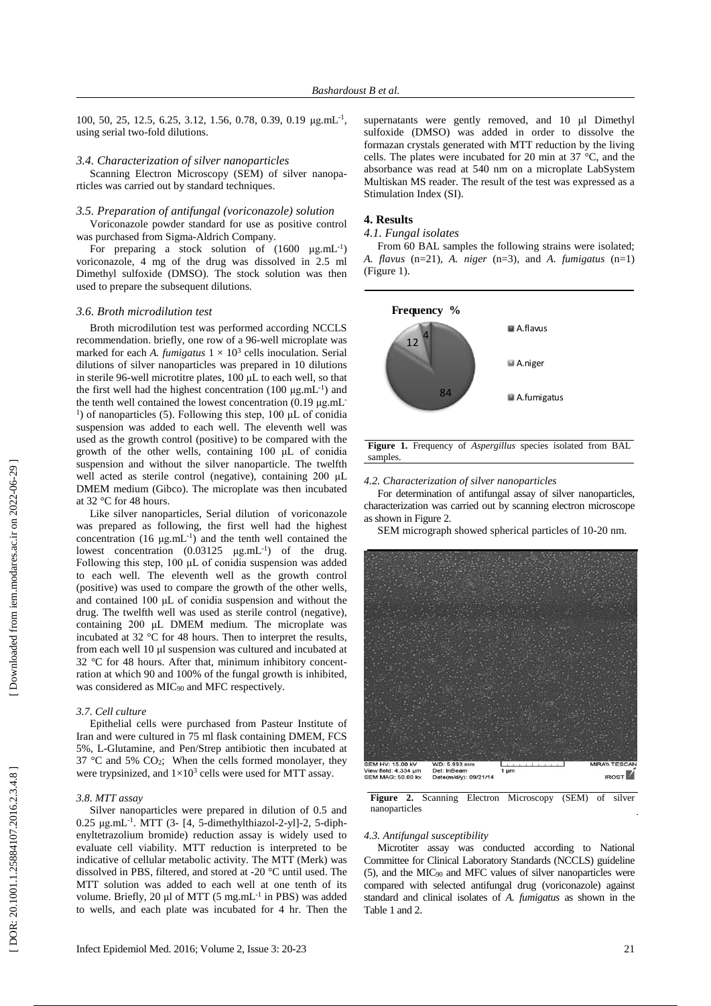100, 50, 25, 12.5, 6.25, 3.12, 1.56, 0.78, 0.39, 0.19 μg.mL<sup>-1</sup>, using serial two -fold dilutions.

#### *3.4. Characterization of silver nanoparticles*

Scanning Electron Microscopy (SEM) of silver nanopa rticles was carried out by standard techniques .

## *3.5. Preparation of antifungal (voriconazole) solution*

Voriconazole powder standard for use as positive control was purchased from Sigma -Aldrich Company .

For preparing a stock solution of  $(1600 \text{ }\mu\text{g.mL}^{-1})$ voricon azole, 4 mg of the drug was dissolved in 2.5 ml Dimethyl su lfoxide (DMSO). The stock solution was then used to prepare the subsequent dilutions.

## *3.6. Broth microdilution test*

Broth microdilution test was performed according NCCLS recommendation. briefly , one row of a 96 -well microplate was marked for each A. *fumigatus*  $1 \times 10^3$  cells inoculation. Serial dilutions of silver nanoparticles was prepared in 10 dilutions in sterile 96 -well microtitre plates , 100 μL to each well , so that the first well had the highest concentration  $(100 \mu g.mL^{-1})$  and the tenth well contained the lowest concentration (0.19 μg.mL<sup>-</sup> <sup>1</sup>) of nanoparticles (5). Following this step, 100 μL of conidia suspension was added to each well. The eleventh well was used as the growth control (positive) to be compare d with the growth of the other well s , containing 100 μL of conidia su spension and without the silver nanoparticle. The twelfth well acted as sterile control (negative), containing 200 μL DMEM medium (Gibco). The microplate was then incubated at 32 °C for 48 hours.

Like silver nanoparticles, Serial dilution of voriconazole was prepared as following, the first well had the highest concentration  $(16 \text{ µg.mL}^{-1})$  and the tenth well contained the lowest concentration (0.03125 μg.mL<sup>-1</sup>) of the drug. Following this step, 100 μL of conidia suspension was added to each well. The eleventh well as the growth control (positive) was used to compare the growth of the other well s, and contained 100 μL of conidia suspension and without the drug. The twelfth well was used as sterile control (negative), containing 200 μL DMEM medium. The microplate was incubated at 32 °C for 48 hours . Then to interpret the results , from each well 10 μl suspension was cultured and incubated at 32 °C for 48 hours. After that , [minimum inhibitory concent](http://www.google.com/url?sa=t&rct=j&q=&esrc=s&frm=1&source=web&cd=2&cad=rja&uact=8&ved=0CCQQFjAB&url=http%3A%2F%2Fen.wikipedia.org%2Fwiki%2FMinimum_inhibitory_concentration&ei=9ZtvVNbkCaq8ygPo9YDwBg&usg=AFQjCNEOTynowFNH2V3rcyU7jaPWdglSTQ&bvm=bv.80185997,d.d2s) [ration](http://www.google.com/url?sa=t&rct=j&q=&esrc=s&frm=1&source=web&cd=2&cad=rja&uact=8&ved=0CCQQFjAB&url=http%3A%2F%2Fen.wikipedia.org%2Fwiki%2FMinimum_inhibitory_concentration&ei=9ZtvVNbkCaq8ygPo9YDwBg&usg=AFQjCNEOTynowFNH2V3rcyU7jaPWdglSTQ&bvm=bv.80185997,d.d2s) at which 90 and 100% of the fungal growth is inhibited, was considered as MIC<sub>90</sub> and MFC respectively.

## *3.7. Cell culture*

Epithelial cell s were purchased from [Pasteur Institute of](http://www.google.com/url?sa=t&rct=j&q=&esrc=s&source=web&cd=2&cad=rja&uact=8&ved=0CCcQFjAB&url=http%3A%2F%2Fwww.pasteur.ac.ir%2F&ei=oDpjVMLdK8-u7Aa9lIGABA&usg=AFQjCNGZhhaHuNfAV31kKb6s6JJKt3-nqA&bvm=bv.79189006,d.d2s)  [Iran](http://www.google.com/url?sa=t&rct=j&q=&esrc=s&source=web&cd=2&cad=rja&uact=8&ved=0CCcQFjAB&url=http%3A%2F%2Fwww.pasteur.ac.ir%2F&ei=oDpjVMLdK8-u7Aa9lIGABA&usg=AFQjCNGZhhaHuNfAV31kKb6s6JJKt3-nqA&bvm=bv.79189006,d.d2s) and were cultured in 75 m l flask co ntaining DMEM, FCS 5%, L - Glutamine , and Pen / Strep antibiotic then incuba ted at 37  $\degree$ C and 5% CO<sub>2</sub>; When the cells formed monolayer, they were trypsinized, and  $1 \times 10^3$  cells were used for MTT assay.

#### *3.8. MTT assay*

Silver nanoparticles were prepared in dilution of 0.5 and  $0.25 \mu$ g.mL<sup>-1</sup>. MTT (3-[4, 5-dimethylthiazol-2-yl]-2, 5-diphenyltetrazolium bromide ) reduction assay is widely used to evaluate cell viability. MTT reduction is interpreted to be indicative of cellular metabolic activity. The MTT (Merk) was dissolved in PBS , filtered , and stored at -20 °C until use d . The MTT solution was added to each well at one tenth of its volume. Briefly, 20 μl of MTT (5 mg.mL<sup>-1</sup> in PBS) was added to wells , and each plate was incubated for 4 h r. Then the

supe rnatants were gently removed , and 10 μl Dimethyl sulfoxide (DMSO) was added in order to dissolve the formazan crystals generated with MTT reduction by the living cells. The plates were incubated for 20 min at 37 °C , and the absorbance was read at 540 nm on a microplate Lab System Multiskan MS reader. The result of the test was expressed as a Stimulation Index (SI).

#### **4. Results**

## *4.1. Fungal isolates*

From 60 BAL samples the following strains were isolated; *A. flavus* (n=21), *A. niger* (n=3) , and *A. fumigatus* (n=1) (Fi gure 1).





*4.2. Characterization of silver nanoparticles*

For determination of antifungal assay of silver nanoparticles, characterization was carried out by scannin g electron microscope as shown in Figure 2.

SEM micrograph showed spherical particles of 10-20 nm.



**Figure 2.** Scanning Electron Microscopy (SEM) of silver nanopart icles

# *4.3. Antifungal susceptibility*

Microtiter assay was conducted according to National Co mmittee for Clinical Laboratory Standards (NCCLS) guideline ( 5 ) , and the MIC<sup>90</sup> and MFC values of silver nanoparticles were compared with selected antifungal drug (voriconazole) against standard and clinical isolates of *A. fumigatus* as shown in the Table 1 and 2.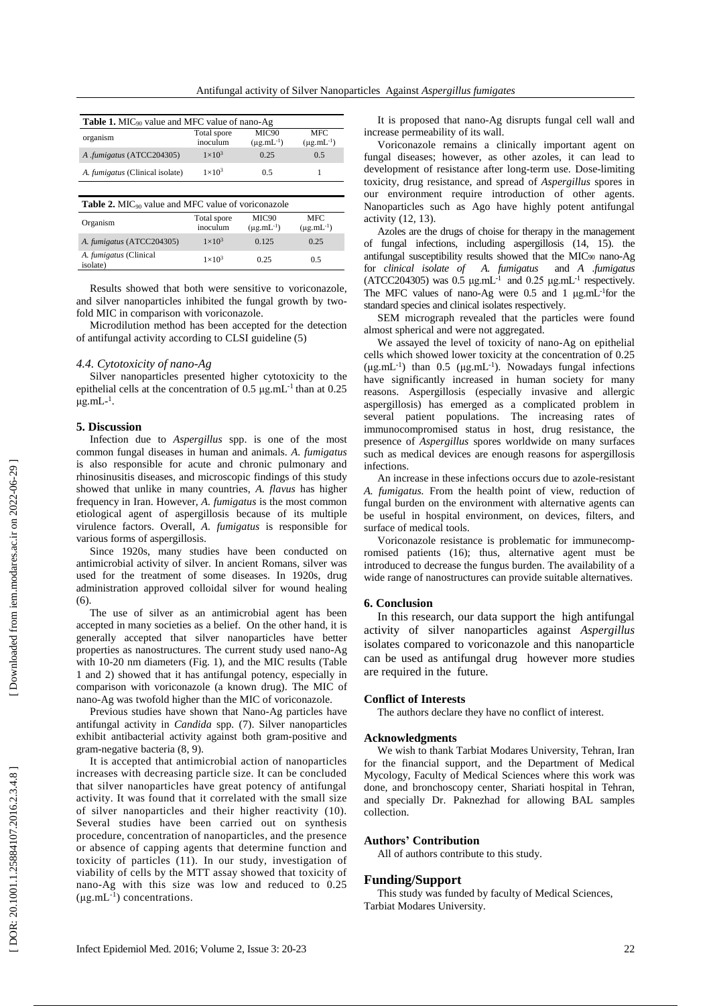| <b>Table 1.</b> MIC <sub>90</sub> value and MFC value of nano-Ag      |                         |                                        |                                 |  |  |
|-----------------------------------------------------------------------|-------------------------|----------------------------------------|---------------------------------|--|--|
| organism                                                              | Total spore<br>inoculum | MIC <sub>90</sub><br>$(\mu g.mL^{-1})$ | <b>MFC</b><br>$(\mu g.mL^{-1})$ |  |  |
| A .fumigatus (ATCC204305)                                             | $1\times10^3$           | 0.25                                   | 0.5                             |  |  |
| A. <i>fumigatus</i> (Clinical isolate)                                | $1\times10^3$           | 0.5                                    |                                 |  |  |
|                                                                       |                         |                                        |                                 |  |  |
| <b>Table 2.</b> MIC <sub>90</sub> value and MFC value of voriconazole |                         |                                        |                                 |  |  |

| <b>THERE IS NOTED THAT THE TELL</b> THREE OF TOLLOGICAL |                         |                                                  |                                 |  |
|---------------------------------------------------------|-------------------------|--------------------------------------------------|---------------------------------|--|
| Organism                                                | Total spore<br>inoculum | MIC <sub>90</sub><br>$(\mu$ g.mL <sup>-1</sup> ) | <b>MFC</b><br>$(\mu g.mL^{-1})$ |  |
| A. fumigatus (ATCC204305)                               | $1\times10^3$           | 0.125                                            | 0.25                            |  |
| A. fumigatus (Clinical<br>isolate)                      | $1\times10^3$           | 0.25                                             | 0.5                             |  |

Results showed that both were sensitive to voriconazole , and silver nanoparticles inhibited the fungal growth by two fold MIC in comparison with voriconazole.

Microdilution method has been accepted for the detection of antifungal activity according to CLSI guideline ( 5 )

## *4.4. Cytotoxicity of nano -Ag*

Silver nanoparticles presented higher cytotoxicity to the epithelial cells at the concentration of  $0.5 \mu g$ .mL<sup>-1</sup> than at  $0.25$ μg.mL- $<sup>1</sup>$ .</sup>

# **5. Discussion**

Infection due to *Aspergillus* spp. is one of the most co mmon fungal diseases in human and animals. *A. fumigatu s* is also responsible for acute and chronic pulmonary and rhinos inusitis disease s, and microscopic finding s of this study showed that unlike in many countries , *A. flavus* has higher frequency in Iran. However , *A. fumigatus* is the most common etiological agent of aspergillosis because of its multiple vir ulence factors . Overall , *A . fumigatus* is responsible for various forms of aspergillosis.

Since 1920s , many studies have been conducted on antim icrobial activity of silver. In ancient Romans , silver was used for the treatment of some diseases. In 1920s , drug administr ation approved colloidal silver for wound healing ( 6).

The use of silver as an antimicrobial agent has been a ccepted in many societies as a belief . On the other hand, it is generally accepted that silver nanoparticles have better properties as nanostructures. The current study used nano-Ag with 10-20 nm diameters (Fig. 1), and the MIC results (Table 1 and 2 ) showed that it has antifungal potency , especially in compa rison with voriconazole (a known drug). The MIC of nano -Ag was twofold higher than the MIC of voriconazole.

Previous studies have shown that Nano -Ag particles have antifungal activity in *Candida* spp *.* ( 7). Silver nanoparticles exhibit antibacterial activity against both gram -positive and gram -negative bacteria (8, 9).

It is accepted that antimicrobial action of nanoparticles increases with decreasing particle size. It can be concluded that silver nanoparticle s have great potency of antifungal activity. It was found that it correlated with the small size of silver nanoparticles and their higher reactivity (10 ) . Several studies have been carried out on synthesis proc edure, concentration of nanoparticles , and the presence or absence of capping agent s that determine function and toxicity of particles (11). In our study, investigation of viabi lity of cells by the MTT assay showed that toxicity of nano -Ag with this size was low and reduced to 0.25  $(\mu g.mL^{-1})$  concentrations.

It is proposed that nano -Ag disrupt s fungal cell wall and increase permeability of its wall .

Voriconazole remains a clinically important agent on fungal diseases; however, as other azoles, it can lead to develo pment of resistance after long -term use. Dose -limiting toxicity, drug resistance , and spread of *Aspergillus* spore s in our env ironment require introduction of other agents. Nanoparticles such as Ago have highly potent antifungal activity (12, 13).

Azoles are the drugs of chois e for therapy in the management of fungal infections, including aspergillosis (14 , 15). the antifu ngal susceptibility results showed that the MIC<sup>90</sup> nano -Ag for *clin ical isolate of A. fumigatus* and *A .fumigatus*   $(ATCC204305)$  was 0.5  $\mu$ g.mL<sup>-1</sup> and 0.25  $\mu$ g.mL<sup>-1</sup> respectively. The MFC values of nano-Ag were 0.5 and 1 μg.mL<sup>-1</sup>for the standard species and cli nical isolate s respectively.

SEM micrograph revealed that the particles were found almost spherical and were not aggregated .

We assayed the level of toxicity of nano-Ag on epithelial cells which showed lower toxicity at the concentration of 0.25 (μg.mL<sup>-1</sup>) than 0.5 (μg.mL<sup>-1</sup>). Nowadays fungal infections have significantly increased in human society for many reasons. Aspergillosis (especially invasive and allergic aspergi llosis ) has emerged as a complicated problem in several patient populations. The increasing rates of immunocompromised st atus in host, drug resistance, the presence of *Aspergillus* spores worldwide on many surfaces such as medical devices are enough reason s for aspergillosis infections.

An increase in these infections occurs due to azole-resistant *A. fumigatu s .* From the health point of view, reduction of fungal burden on the environment with alternative agents can be useful in hospital environment , on devices, filters , and surface of medical tools.

Voriconazole resistance is problematic for immunecomp romised patients (16 ) ; thus , alternative agent must be intr oduce d to decrease the fungus burden. The availability of a wide range of nanostructures can provide suitable alternatives.

## **6. Conclusion**

In this research, our data support the high antifungal activity of silver nanoparticles against *Aspergillus* is olates compared to voriconazole and this nanoparticle can be used as antifungal drug however more studies are required in the future.

# **Conflict of Interests**

The authors declare they have no conflict of interest.

## **Acknowledgments**

We wish to thank Tarbiat Modares University, Tehran, Iran for the financial support , and the Department of Medical M ycology, Faculty of Medical Sciences where this work was done, and bronchoscopy center, Shariati hospital in Tehran , and specially Dr. Pakne zhad for allowing BAL sample s co llection .

## **Authors ' Contribution**

All of authors contribute to this study.

## **Funding/Support**

This study was funded by faculty of Medical Sciences, Tarbiat Modares University.